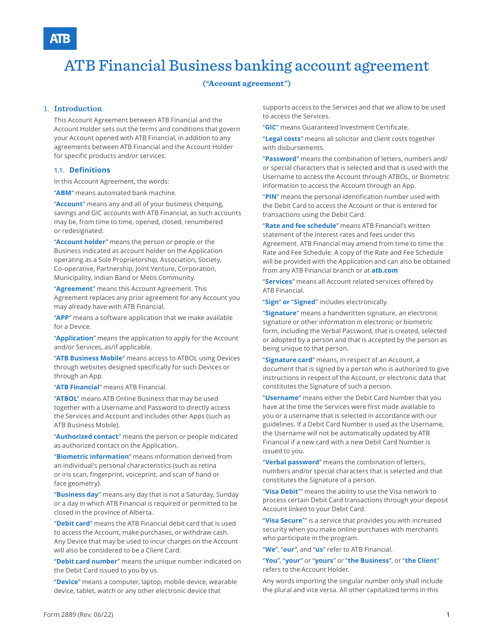# ATB Financial Business banking account agreement

#### **("Account agreement")**

#### 1. **Introduction**

This Account Agreement between ATB Financial and the Account Holder sets out the terms and conditions that govern your Account opened with ATB Financial, in addition to any agreements between ATB Financial and the Account Holder for specific products and/or services.

#### **1.1. Definitions**

In this Account Agreement, the words:

"**ABM**" means automated bank machine.

"**Account**" means any and all of your business chequing, savings and GIC accounts with ATB Financial, as such accounts may be, from time to time, opened, closed, renumbered or redesignated.

"**Account holder**" means the person or people or the Business indicated as account holder on the Application operating as a Sole Proprietorship, Association, Society, Co-operative, Partnership, Joint Venture, Corporation, Municipality, Indian Band or Metis Community.

"**Agreement**" means this Account Agreement. This Agreement replaces any prior agreement for any Account you may already have with ATB Financial.

"**APP**" means a software application that we make available for a Device.

"**Application**" means the application to apply for the Account and/or Services, as/if applicable.

"**ATB Business Mobile**" means access to ATBOL using Devices through websites designed specifically for such Devices or through an App.

"**ATB Financial**" means ATB Financial.

"**ATBOL**" means ATB Online Business that may be used together with a Username and Password to directly access the Services and Account and includes other Apps (such as ATB Business Mobile).

"**Authorized contact**" means the person or people indicated as authorized contact on the Application.

"**Biometric information**" means information derived from an individual's personal characteristics (such as retina or iris scan, fingerprint, voiceprint, and scan of hand or face geometry).

"**Business day**" means any day that is not a Saturday, Sunday or a day in which ATB Financial is required or permitted to be closed in the province of Alberta.

"**Debit card**" means the ATB Financial debit card that is used to access the Account, make purchases, or withdraw cash. Any Device that may be used to incur charges on the Account will also be considered to be a Client Card.

"**Debit card number**" means the unique number indicated on the Debit Card issued to you by us.

"**Device**" means a computer, laptop, mobile device, wearable device, tablet, watch or any other electronic device that

supports access to the Services and that we allow to be used to access the Services.

"**GIC**" means Guaranteed Investment Certificate.

"**Legal costs**" means all solicitor and client costs together with disbursements.

"**Password**" means the combination of letters, numbers and/ or special characters that is selected and that is used with the Username to access the Account through ATBOL, or Biometric Information to access the Account through an App.

"**PIN**" means the personal identification number used with the Debit Card to access the Account or that is entered for transactions using the Debit Card.

"**Rate and fee schedule**" means ATB Financial's written statement of the interest rates and fees under this Agreement. ATB Financial may amend from time to time the Rate and Fee Schedule. A copy of the Rate and Fee Schedule will be provided with the Application and can also be obtained from any ATB Financial branch or at **atb.com**

"**Services**" means all Account related services offered by ATB Financial.

"**Sign**" **or** "**Signed**" includes electronically.

"**Signature**" means a handwritten signature, an electronic signature or other information in electronic or biometric form, including the Verbal Password, that is created, selected or adopted by a person and that is accepted by the person as being unique to that person.

"**Signature card**" means, in respect of an Account, a document that is signed by a person who is authorized to give instructions in respect of the Account, or electronic data that constitutes the Signature of such a person.

"**Username**" means either the Debit Card Number that you have at the time the Services were first made available to you or a username that is selected in accordance with our guidelines. If a Debit Card Number is used as the Username, the Username will not be automatically updated by ATB Financial if a new card with a new Debit Card Number is issued to you.

"**Verbal password**" means the combination of letters, numbers and/or special characters that is selected and that constitutes the Signature of a person.

"**Visa Debit\***" means the ability to use the Visa network to process certain Debit Card transactions through your deposit Account linked to your Debit Card.

"**Visa Secure\***" is a service that provides you with increased security when you make online purchases with merchants who participate in the program.

"**We**", "**our**", and "**us**" refer to ATB Financial.

#### "**You**", "**your**" or "**yours**" or "**the Business**", or "**the Client**" refers to the Account Holder.

Any words importing the singular number only shall include the plural and vice versa. All other capitalized terms in this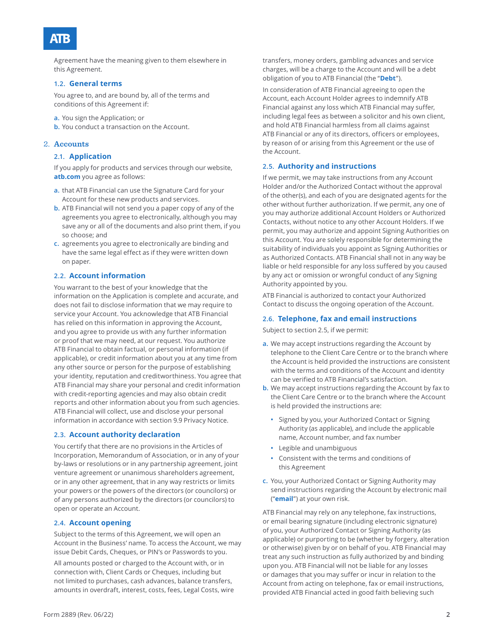Agreement have the meaning given to them elsewhere in this Agreement.

#### **1.2. General terms**

You agree to, and are bound by, all of the terms and conditions of this Agreement if:

- **a.** You sign the Application; or
- **b.** You conduct a transaction on the Account.

#### 2. **Accounts**

#### **2.1. Application**

If you apply for products and services through our website, **atb.com** you agree as follows:

- **a.** that ATB Financial can use the Signature Card for your Account for these new products and services.
- **b.** ATB Financial will not send you a paper copy of any of the agreements you agree to electronically, although you may save any or all of the documents and also print them, if you so choose; and
- **c.** agreements you agree to electronically are binding and have the same legal effect as if they were written down on paper.

#### **2.2. Account information**

You warrant to the best of your knowledge that the information on the Application is complete and accurate, and does not fail to disclose information that we may require to service your Account. You acknowledge that ATB Financial has relied on this information in approving the Account, and you agree to provide us with any further information or proof that we may need, at our request. You authorize ATB Financial to obtain factual, or personal information (if applicable), or credit information about you at any time from any other source or person for the purpose of establishing your identity, reputation and creditworthiness. You agree that ATB Financial may share your personal and credit information with credit-reporting agencies and may also obtain credit reports and other information about you from such agencies. ATB Financial will collect, use and disclose your personal information in accordance with section 9.9 Privacy Notice.

#### **2.3. Account authority declaration**

You certify that there are no provisions in the Articles of Incorporation, Memorandum of Association, or in any of your by-laws or resolutions or in any partnership agreement, joint venture agreement or unanimous shareholders agreement, or in any other agreement, that in any way restricts or limits your powers or the powers of the directors (or councilors) or of any persons authorized by the directors (or councilors) to open or operate an Account.

#### **2.4. Account opening**

Subject to the terms of this Agreement, we will open an Account in the Business' name. To access the Account, we may issue Debit Cards, Cheques, or PIN's or Passwords to you.

All amounts posted or charged to the Account with, or in connection with, Client Cards or Cheques, including but not limited to purchases, cash advances, balance transfers, amounts in overdraft, interest, costs, fees, Legal Costs, wire transfers, money orders, gambling advances and service charges, will be a charge to the Account and will be a debt obligation of you to ATB Financial (the "**Debt**").

In consideration of ATB Financial agreeing to open the Account, each Account Holder agrees to indemnify ATB Financial against any loss which ATB Financial may suffer, including legal fees as between a solicitor and his own client, and hold ATB Financial harmless from all claims against ATB Financial or any of its directors, officers or employees, by reason of or arising from this Agreement or the use of the Account.

#### **2.5. Authority and instructions**

If we permit, we may take instructions from any Account Holder and/or the Authorized Contact without the approval of the other(s), and each of you are designated agents for the other without further authorization. If we permit, any one of you may authorize additional Account Holders or Authorized Contacts, without notice to any other Account Holders. If we permit, you may authorize and appoint Signing Authorities on this Account. You are solely responsible for determining the suitability of individuals you appoint as Signing Authorities or as Authorized Contacts. ATB Financial shall not in any way be liable or held responsible for any loss suffered by you caused by any act or omission or wrongful conduct of any Signing Authority appointed by you.

ATB Financial is authorized to contact your Authorized Contact to discuss the ongoing operation of the Account.

#### **2.6. Telephone, fax and email instructions**

Subject to section 2.5, if we permit:

- **a.** We may accept instructions regarding the Account by telephone to the Client Care Centre or to the branch where the Account is held provided the instructions are consistent with the terms and conditions of the Account and identity can be verified to ATB Financial's satisfaction.
- **b.** We may accept instructions regarding the Account by fax to the Client Care Centre or to the branch where the Account is held provided the instructions are:
	- **•** Signed by you, your Authorized Contact or Signing Authority (as applicable), and include the applicable name, Account number, and fax number
	- **•** Legible and unambiguous
	- **•** Consistent with the terms and conditions of this Agreement
- **c.** You, your Authorized Contact or Signing Authority may send instructions regarding the Account by electronic mail ("**email**") at your own risk.

ATB Financial may rely on any telephone, fax instructions, or email bearing signature (including electronic signature) of you, your Authorized Contact or Signing Authority (as applicable) or purporting to be (whether by forgery, alteration or otherwise) given by or on behalf of you. ATB Financial may treat any such instruction as fully authorized by and binding upon you. ATB Financial will not be liable for any losses or damages that you may suffer or incur in relation to the Account from acting on telephone, fax or email instructions, provided ATB Financial acted in good faith believing such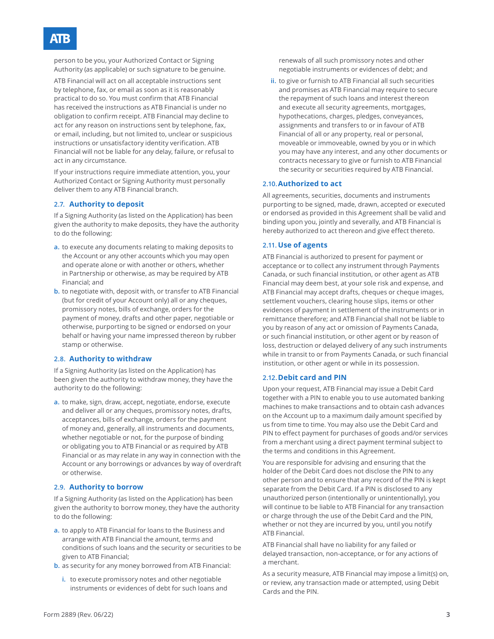## ATR

person to be you, your Authorized Contact or Signing Authority (as applicable) or such signature to be genuine.

ATB Financial will act on all acceptable instructions sent by telephone, fax, or email as soon as it is reasonably practical to do so. You must confirm that ATB Financial has received the instructions as ATB Financial is under no obligation to confirm receipt. ATB Financial may decline to act for any reason on instructions sent by telephone, fax, or email, including, but not limited to, unclear or suspicious instructions or unsatisfactory identity verification. ATB Financial will not be liable for any delay, failure, or refusal to act in any circumstance.

If your instructions require immediate attention, you, your Authorized Contact or Signing Authority must personally deliver them to any ATB Financial branch.

#### **2.7. Authority to deposit**

If a Signing Authority (as listed on the Application) has been given the authority to make deposits, they have the authority to do the following:

- **a.** to execute any documents relating to making deposits to the Account or any other accounts which you may open and operate alone or with another or others, whether in Partnership or otherwise, as may be required by ATB Financial; and
- **b.** to negotiate with, deposit with, or transfer to ATB Financial (but for credit of your Account only) all or any cheques, promissory notes, bills of exchange, orders for the payment of money, drafts and other paper, negotiable or otherwise, purporting to be signed or endorsed on your behalf or having your name impressed thereon by rubber stamp or otherwise.

#### **2.8. Authority to withdraw**

If a Signing Authority (as listed on the Application) has been given the authority to withdraw money, they have the authority to do the following:

**a.** to make, sign, draw, accept, negotiate, endorse, execute and deliver all or any cheques, promissory notes, drafts, acceptances, bills of exchange, orders for the payment of money and, generally, all instruments and documents, whether negotiable or not, for the purpose of binding or obligating you to ATB Financial or as required by ATB Financial or as may relate in any way in connection with the Account or any borrowings or advances by way of overdraft or otherwise.

#### **2.9. Authority to borrow**

If a Signing Authority (as listed on the Application) has been given the authority to borrow money, they have the authority to do the following:

- **a.** to apply to ATB Financial for loans to the Business and arrange with ATB Financial the amount, terms and conditions of such loans and the security or securities to be given to ATB Financial;
- **b.** as security for any money borrowed from ATB Financial:
	- **i.** to execute promissory notes and other negotiable instruments or evidences of debt for such loans and

renewals of all such promissory notes and other negotiable instruments or evidences of debt; and

**ii.** to give or furnish to ATB Financial all such securities and promises as ATB Financial may require to secure the repayment of such loans and interest thereon and execute all security agreements, mortgages, hypothecations, charges, pledges, conveyances, assignments and transfers to or in favour of ATB Financial of all or any property, real or personal, moveable or immoveable, owned by you or in which you may have any interest, and any other documents or contracts necessary to give or furnish to ATB Financial the security or securities required by ATB Financial.

#### **2.10.Authorized to act**

All agreements, securities, documents and instruments purporting to be signed, made, drawn, accepted or executed or endorsed as provided in this Agreement shall be valid and binding upon you, jointly and severally, and ATB Financial is hereby authorized to act thereon and give effect thereto.

#### **2.11. Use of agents**

ATB Financial is authorized to present for payment or acceptance or to collect any instrument through Payments Canada, or such financial institution, or other agent as ATB Financial may deem best, at your sole risk and expense, and ATB Financial may accept drafts, cheques or cheque images, settlement vouchers, clearing house slips, items or other evidences of payment in settlement of the instruments or in remittance therefore; and ATB Financial shall not be liable to you by reason of any act or omission of Payments Canada, or such financial institution, or other agent or by reason of loss, destruction or delayed delivery of any such instruments while in transit to or from Payments Canada, or such financial institution, or other agent or while in its possession.

#### **2.12.Debit card and PIN**

Upon your request, ATB Financial may issue a Debit Card together with a PIN to enable you to use automated banking machines to make transactions and to obtain cash advances on the Account up to a maximum daily amount specified by us from time to time. You may also use the Debit Card and PIN to effect payment for purchases of goods and/or services from a merchant using a direct payment terminal subject to the terms and conditions in this Agreement.

You are responsible for advising and ensuring that the holder of the Debit Card does not disclose the PIN to any other person and to ensure that any record of the PIN is kept separate from the Debit Card. If a PIN is disclosed to any unauthorized person (intentionally or unintentionally), you will continue to be liable to ATB Financial for any transaction or charge through the use of the Debit Card and the PIN, whether or not they are incurred by you, until you notify ATB Financial.

ATB Financial shall have no liability for any failed or delayed transaction, non-acceptance, or for any actions of a merchant.

As a security measure, ATB Financial may impose a limit(s) on, or review, any transaction made or attempted, using Debit Cards and the PIN.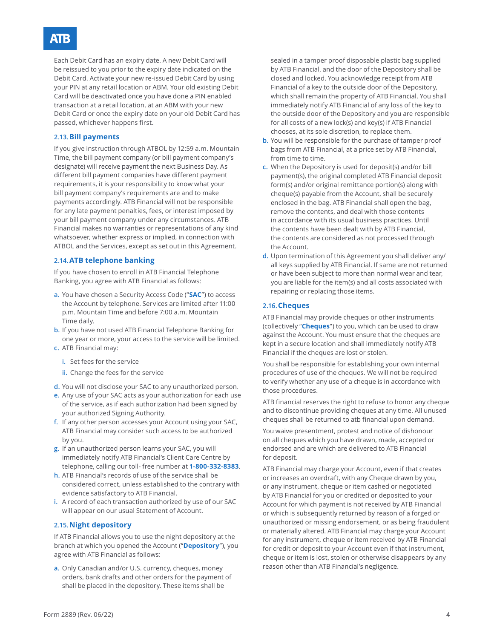## ATR

Each Debit Card has an expiry date. A new Debit Card will be reissued to you prior to the expiry date indicated on the Debit Card. Activate your new re-issued Debit Card by using your PIN at any retail location or ABM. Your old existing Debit Card will be deactivated once you have done a PIN enabled transaction at a retail location, at an ABM with your new Debit Card or once the expiry date on your old Debit Card has passed, whichever happens first.

#### **2.13.Bill payments**

If you give instruction through ATBOL by 12:59 a.m. Mountain Time, the bill payment company (or bill payment company's designate) will receive payment the next Business Day. As different bill payment companies have different payment requirements, it is your responsibility to know what your bill payment company's requirements are and to make payments accordingly. ATB Financial will not be responsible for any late payment penalties, fees, or interest imposed by your bill payment company under any circumstances. ATB Financial makes no warranties or representations of any kind whatsoever, whether express or implied, in connection with ATBOL and the Services, except as set out in this Agreement.

#### **2.14.ATB telephone banking**

If you have chosen to enroll in ATB Financial Telephone Banking, you agree with ATB Financial as follows:

- **a.** You have chosen a Security Access Code ("**SAC**") to access the Account by telephone. Services are limited after 11:00 p.m. Mountain Time and before 7:00 a.m. Mountain Time daily.
- **b.** If you have not used ATB Financial Telephone Banking for one year or more, your access to the service will be limited. **c.** ATB Financial may:
	- **i.** Set fees for the service
	- **ii.** Change the fees for the service
- **d.** You will not disclose your SAC to any unauthorized person.
- **e.** Any use of your SAC acts as your authorization for each use of the service, as if each authorization had been signed by your authorized Signing Authority.
- **f.** If any other person accesses your Account using your SAC, ATB Financial may consider such access to be authorized by you.
- **g.** If an unauthorized person learns your SAC, you will immediately notify ATB Financial's Client Care Centre by telephone, calling our toll- free number at **1-800-332-8383**.
- **h.** ATB Financial's records of use of the service shall be considered correct, unless established to the contrary with evidence satisfactory to ATB Financial.
- **i.** A record of each transaction authorized by use of our SAC will appear on our usual Statement of Account.

#### **2.15.Night depository**

If ATB Financial allows you to use the night depository at the branch at which you opened the Account ("**Depository**"), you agree with ATB Financial as follows:

**a.** Only Canadian and/or U.S. currency, cheques, money orders, bank drafts and other orders for the payment of shall be placed in the depository. These items shall be

sealed in a tamper proof disposable plastic bag supplied by ATB Financial, and the door of the Depository shall be closed and locked. You acknowledge receipt from ATB Financial of a key to the outside door of the Depository, which shall remain the property of ATB Financial. You shall immediately notify ATB Financial of any loss of the key to the outside door of the Depository and you are responsible for all costs of a new lock(s) and key(s) if ATB Financial chooses, at its sole discretion, to replace them.

- **b.** You will be responsible for the purchase of tamper proof bags from ATB Financial, at a price set by ATB Financial, from time to time.
- **c.** When the Depository is used for deposit(s) and/or bill payment(s), the original completed ATB Financial deposit form(s) and/or original remittance portion(s) along with cheque(s) payable from the Account, shall be securely enclosed in the bag. ATB Financial shall open the bag, remove the contents, and deal with those contents in accordance with its usual business practices. Until the contents have been dealt with by ATB Financial, the contents are considered as not processed through the Account.
- **d.** Upon termination of this Agreement you shall deliver any/ all keys supplied by ATB Financial. If same are not returned or have been subject to more than normal wear and tear, you are liable for the item(s) and all costs associated with repairing or replacing those items.

#### **2.16.Cheques**

ATB Financial may provide cheques or other instruments (collectively "**Cheques**") to you, which can be used to draw against the Account. You must ensure that the cheques are kept in a secure location and shall immediately notify ATB Financial if the cheques are lost or stolen.

You shall be responsible for establishing your own internal procedures of use of the cheques. We will not be required to verify whether any use of a cheque is in accordance with those procedures.

ATB financial reserves the right to refuse to honor any cheque and to discontinue providing cheques at any time. All unused cheques shall be returned to atb financial upon demand.

You waive presentment, protest and notice of dishonour on all cheques which you have drawn, made, accepted or endorsed and are which are delivered to ATB Financial for deposit.

ATB Financial may charge your Account, even if that creates or increases an overdraft, with any Cheque drawn by you, or any instrument, cheque or item cashed or negotiated by ATB Financial for you or credited or deposited to your Account for which payment is not received by ATB Financial or which is subsequently returned by reason of a forged or unauthorized or missing endorsement, or as being fraudulent or materially altered. ATB Financial may charge your Account for any instrument, cheque or item received by ATB Financial for credit or deposit to your Account even if that instrument, cheque or item is lost, stolen or otherwise disappears by any reason other than ATB Financial's negligence.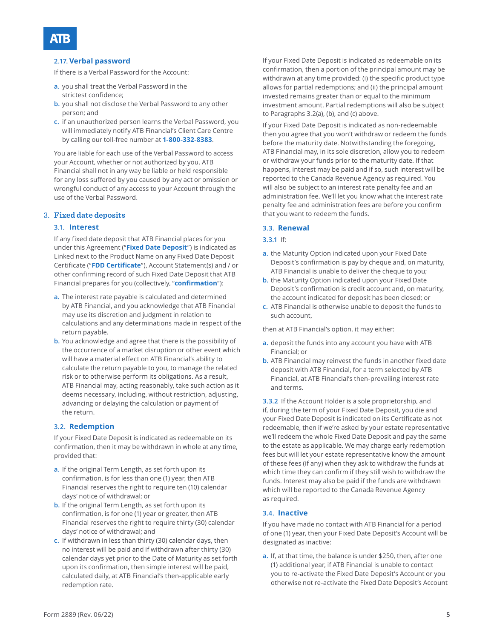#### **2.17. Verbal password**

If there is a Verbal Password for the Account:

- **a.** you shall treat the Verbal Password in the strictest confidence;
- **b.** you shall not disclose the Verbal Password to any other person; and
- **c.** if an unauthorized person learns the Verbal Password, you will immediately notify ATB Financial's Client Care Centre by calling our toll-free number at **1-800-332-8383**.

You are liable for each use of the Verbal Password to access your Account, whether or not authorized by you. ATB Financial shall not in any way be liable or held responsible for any loss suffered by you caused by any act or omission or wrongful conduct of any access to your Account through the use of the Verbal Password.

#### 3. **Fixed date deposits**

#### **3.1. Interest**

If any fixed date deposit that ATB Financial places for you under this Agreement ("**Fixed Date Deposit**") is indicated as Linked next to the Product Name on any Fixed Date Deposit Certificate ("**FDD Certificate**"), Account Statement(s) and / or other confirming record of such Fixed Date Deposit that ATB Financial prepares for you (collectively, "**confirmation**"):

- **a.** The interest rate payable is calculated and determined by ATB Financial, and you acknowledge that ATB Financial may use its discretion and judgment in relation to calculations and any determinations made in respect of the return payable.
- **b.** You acknowledge and agree that there is the possibility of the occurrence of a market disruption or other event which will have a material effect on ATB Financial's ability to calculate the return payable to you, to manage the related risk or to otherwise perform its obligations. As a result, ATB Financial may, acting reasonably, take such action as it deems necessary, including, without restriction, adjusting, advancing or delaying the calculation or payment of the return.

#### **3.2. Redemption**

If your Fixed Date Deposit is indicated as redeemable on its confirmation, then it may be withdrawn in whole at any time, provided that:

- **a.** If the original Term Length, as set forth upon its confirmation, is for less than one (1) year, then ATB Financial reserves the right to require ten (10) calendar days' notice of withdrawal; or
- **b.** If the original Term Length, as set forth upon its confirmation, is for one (1) year or greater, then ATB Financial reserves the right to require thirty (30) calendar days' notice of withdrawal; and
- **c.** If withdrawn in less than thirty (30) calendar days, then no interest will be paid and if withdrawn after thirty (30) calendar days yet prior to the Date of Maturity as set forth upon its confirmation, then simple interest will be paid, calculated daily, at ATB Financial's then-applicable early redemption rate.

If your Fixed Date Deposit is indicated as redeemable on its confirmation, then a portion of the principal amount may be withdrawn at any time provided: (i) the specific product type allows for partial redemptions; and (ii) the principal amount invested remains greater than or equal to the minimum investment amount. Partial redemptions will also be subject to Paragraphs 3.2(a), (b), and (c) above.

If your Fixed Date Deposit is indicated as non-redeemable then you agree that you won't withdraw or redeem the funds before the maturity date. Notwithstanding the foregoing, ATB Financial may, in its sole discretion, allow you to redeem or withdraw your funds prior to the maturity date. If that happens, interest may be paid and if so, such interest will be reported to the Canada Revenue Agency as required. You will also be subject to an interest rate penalty fee and an administration fee. We'll let you know what the interest rate penalty fee and administration fees are before you confirm that you want to redeem the funds.

#### **3.3. Renewal**

#### **3.3.1** If:

- **a.** the Maturity Option indicated upon your Fixed Date Deposit's confirmation is pay by cheque and, on maturity, ATB Financial is unable to deliver the cheque to you;
- **b.** the Maturity Option indicated upon your Fixed Date Deposit's confirmation is credit account and, on maturity, the account indicated for deposit has been closed; or
- **c.** ATB Financial is otherwise unable to deposit the funds to such account,

then at ATB Financial's option, it may either:

- **a.** deposit the funds into any account you have with ATB Financial; or
- **b.** ATB Financial may reinvest the funds in another fixed date deposit with ATB Financial, for a term selected by ATB Financial, at ATB Financial's then-prevailing interest rate and terms.

**3.3.2** If the Account Holder is a sole proprietorship, and if, during the term of your Fixed Date Deposit, you die and your Fixed Date Deposit is indicated on its Certificate as not redeemable, then if we're asked by your estate representative we'll redeem the whole Fixed Date Deposit and pay the same to the estate as applicable. We may charge early redemption fees but will let your estate representative know the amount of these fees (if any) when they ask to withdraw the funds at which time they can confirm if they still wish to withdraw the funds. Interest may also be paid if the funds are withdrawn which will be reported to the Canada Revenue Agency as required.

#### **3.4. Inactive**

If you have made no contact with ATB Financial for a period of one (1) year, then your Fixed Date Deposit's Account will be designated as inactive:

**a.** If, at that time, the balance is under \$250, then, after one (1) additional year, if ATB Financial is unable to contact you to re-activate the Fixed Date Deposit's Account or you otherwise not re-activate the Fixed Date Deposit's Account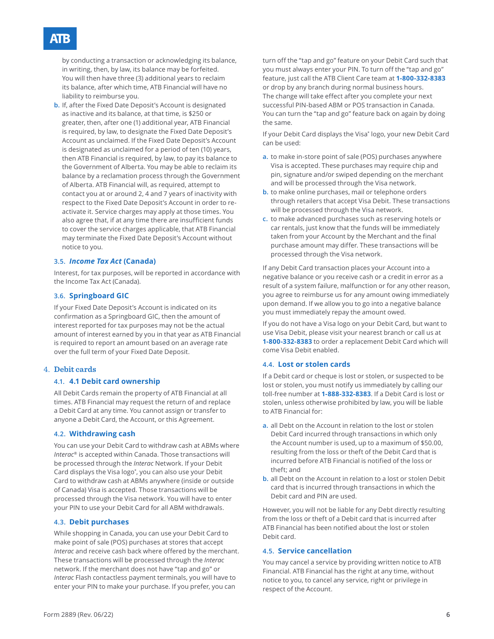### ATR

by conducting a transaction or acknowledging its balance, in writing, then, by law, its balance may be forfeited. You will then have three (3) additional years to reclaim its balance, after which time, ATB Financial will have no liability to reimburse you.

**b.** If, after the Fixed Date Deposit's Account is designated as inactive and its balance, at that time, is \$250 or greater, then, after one (1) additional year, ATB Financial is required, by law, to designate the Fixed Date Deposit's Account as unclaimed. If the Fixed Date Deposit's Account is designated as unclaimed for a period of ten (10) years, then ATB Financial is required, by law, to pay its balance to the Government of Alberta. You may be able to reclaim its balance by a reclamation process through the Government of Alberta. ATB Financial will, as required, attempt to contact you at or around 2, 4 and 7 years of inactivity with respect to the Fixed Date Deposit's Account in order to reactivate it. Service charges may apply at those times. You also agree that, if at any time there are insufficient funds to cover the service charges applicable, that ATB Financial may terminate the Fixed Date Deposit's Account without notice to you.

#### **3.5.** *Income Tax Act* **(Canada)**

Interest, for tax purposes, will be reported in accordance with the Income Tax Act (Canada).

#### **3.6. Springboard GIC**

If your Fixed Date Deposit's Account is indicated on its confirmation as a Springboard GIC, then the amount of interest reported for tax purposes may not be the actual amount of interest earned by you in that year as ATB Financial is required to report an amount based on an average rate over the full term of your Fixed Date Deposit.

#### 4. **Debit cards**

#### **4.1. 4.1 Debit card ownership**

All Debit Cards remain the property of ATB Financial at all times. ATB Financial may request the return of and replace a Debit Card at any time. You cannot assign or transfer to anyone a Debit Card, the Account, or this Agreement.

#### **4.2. Withdrawing cash**

You can use your Debit Card to withdraw cash at ABMs where *Interac*® is accepted within Canada. Those transactions will be processed through the *Interac* Network. If your Debit Card displays the Visa logo\* , you can also use your Debit Card to withdraw cash at ABMs anywhere (inside or outside of Canada) Visa is accepted. Those transactions will be processed through the Visa network. You will have to enter your PIN to use your Debit Card for all ABM withdrawals.

### **4.3. Debit purchases**

While shopping in Canada, you can use your Debit Card to make point of sale (POS) purchases at stores that accept *Interac* and receive cash back where offered by the merchant. These transactions will be processed through the *Interac* network. If the merchant does not have "tap and go" or *Interac* Flash contactless payment terminals, you will have to enter your PIN to make your purchase. If you prefer, you can

turn off the "tap and go" feature on your Debit Card such that you must always enter your PIN. To turn off the "tap and go" feature, just call the ATB Client Care team at **1-800-332-8383** or drop by any branch during normal business hours. The change will take effect after you complete your next successful PIN-based ABM or POS transaction in Canada. You can turn the "tap and go" feature back on again by doing the same.

If your Debit Card displays the Visa\* logo, your new Debit Card can be used:

- **a.** to make in-store point of sale (POS) purchases anywhere Visa is accepted. These purchases may require chip and pin, signature and/or swiped depending on the merchant and will be processed through the Visa network.
- **b.** to make online purchases, mail or telephone orders through retailers that accept Visa Debit. These transactions will be processed through the Visa network.
- **c.** to make advanced purchases such as reserving hotels or car rentals, just know that the funds will be immediately taken from your Account by the Merchant and the final purchase amount may differ. These transactions will be processed through the Visa network.

If any Debit Card transaction places your Account into a negative balance or you receive cash or a credit in error as a result of a system failure, malfunction or for any other reason, you agree to reimburse us for any amount owing immediately upon demand. If we allow you to go into a negative balance you must immediately repay the amount owed.

If you do not have a Visa logo on your Debit Card, but want to use Visa Debit, please visit your nearest branch or call us at **1-800-332-8383** to order a replacement Debit Card which will come Visa Debit enabled.

#### **4.4. Lost or stolen cards**

If a Debit card or cheque is lost or stolen, or suspected to be lost or stolen, you must notify us immediately by calling our toll-free number at **1-888-332-8383**. If a Debit Card is lost or stolen, unless otherwise prohibited by law, you will be liable to ATB Financial for:

- **a.** all Debt on the Account in relation to the lost or stolen Debit Card incurred through transactions in which only the Account number is used, up to a maximum of \$50.00, resulting from the loss or theft of the Debit Card that is incurred before ATB Financial is notified of the loss or theft; and
- **b.** all Debt on the Account in relation to a lost or stolen Debit card that is incurred through transactions in which the Debit card and PIN are used.

However, you will not be liable for any Debt directly resulting from the loss or theft of a Debit card that is incurred after ATB Financial has been notified about the lost or stolen Debit card.

#### **4.5. Service cancellation**

You may cancel a service by providing written notice to ATB Financial. ATB Financial has the right at any time, without notice to you, to cancel any service, right or privilege in respect of the Account.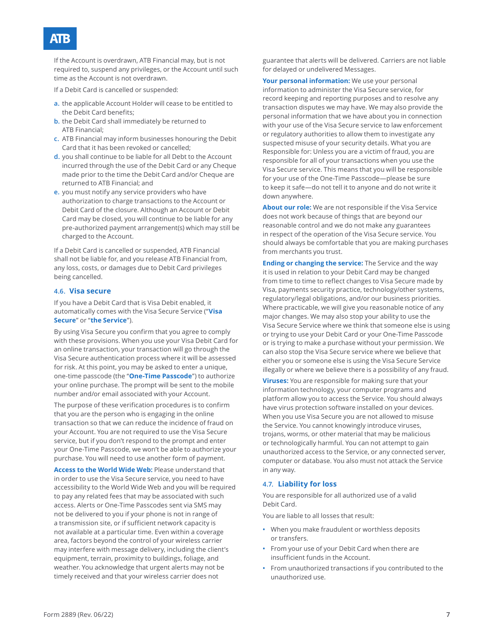If the Account is overdrawn, ATB Financial may, but is not required to, suspend any privileges, or the Account until such time as the Account is not overdrawn.

If a Debit Card is cancelled or suspended:

- **a.** the applicable Account Holder will cease to be entitled to the Debit Card benefits;
- **b.** the Debit Card shall immediately be returned to ATB Financial;
- **c.** ATB Financial may inform businesses honouring the Debit Card that it has been revoked or cancelled;
- **d.** you shall continue to be liable for all Debt to the Account incurred through the use of the Debit Card or any Cheque made prior to the time the Debit Card and/or Cheque are returned to ATB Financial; and
- **e.** you must notify any service providers who have authorization to charge transactions to the Account or Debit Card of the closure. Although an Account or Debit Card may be closed, you will continue to be liable for any pre-authorized payment arrangement(s) which may still be charged to the Account.

If a Debit Card is cancelled or suspended, ATB Financial shall not be liable for, and you release ATB Financial from, any loss, costs, or damages due to Debit Card privileges being cancelled.

#### **4.6. Visa secure**

If you have a Debit Card that is Visa Debit enabled, it automatically comes with the Visa Secure Service ("**Visa Secure**" or "**the Service**").

By using Visa Secure you confirm that you agree to comply with these provisions. When you use your Visa Debit Card for an online transaction, your transaction will go through the Visa Secure authentication process where it will be assessed for risk. At this point, you may be asked to enter a unique, one-time passcode (the "**One-Time Passcode**") to authorize your online purchase. The prompt will be sent to the mobile number and/or email associated with your Account.

The purpose of these verification procedures is to confirm that you are the person who is engaging in the online transaction so that we can reduce the incidence of fraud on your Account. You are not required to use the Visa Secure service, but if you don't respond to the prompt and enter your One-Time Passcode, we won't be able to authorize your purchase. You will need to use another form of payment.

**Access to the World Wide Web:** Please understand that in order to use the Visa Secure service, you need to have accessibility to the World Wide Web and you will be required to pay any related fees that may be associated with such access. Alerts or One-Time Passcodes sent via SMS may not be delivered to you if your phone is not in range of a transmission site, or if sufficient network capacity is not available at a particular time. Even within a coverage area, factors beyond the control of your wireless carrier may interfere with message delivery, including the client's equipment, terrain, proximity to buildings, foliage, and weather. You acknowledge that urgent alerts may not be timely received and that your wireless carrier does not

guarantee that alerts will be delivered. Carriers are not liable for delayed or undelivered Messages.

**Your personal information:** We use your personal information to administer the Visa Secure service, for record keeping and reporting purposes and to resolve any transaction disputes we may have. We may also provide the personal information that we have about you in connection with your use of the Visa Secure service to law enforcement or regulatory authorities to allow them to investigate any suspected misuse of your security details. What you are Responsible for: Unless you are a victim of fraud, you are responsible for all of your transactions when you use the Visa Secure service. This means that you will be responsible for your use of the One-Time Passcode—please be sure to keep it safe—do not tell it to anyone and do not write it down anywhere.

**About our role:** We are not responsible if the Visa Service does not work because of things that are beyond our reasonable control and we do not make any guarantees in respect of the operation of the Visa Secure service. You should always be comfortable that you are making purchases from merchants you trust.

**Ending or changing the service:** The Service and the way it is used in relation to your Debit Card may be changed from time to time to reflect changes to Visa Secure made by Visa, payments security practice, technology/other systems, regulatory/legal obligations, and/or our business priorities. Where practicable, we will give you reasonable notice of any major changes. We may also stop your ability to use the Visa Secure Service where we think that someone else is using or trying to use your Debit Card or your One-Time Passcode or is trying to make a purchase without your permission. We can also stop the Visa Secure service where we believe that either you or someone else is using the Visa Secure Service illegally or where we believe there is a possibility of any fraud.

**Viruses:** You are responsible for making sure that your information technology, your computer programs and platform allow you to access the Service. You should always have virus protection software installed on your devices. When you use Visa Secure you are not allowed to misuse the Service. You cannot knowingly introduce viruses, trojans, worms, or other material that may be malicious or technologically harmful. You can not attempt to gain unauthorized access to the Service, or any connected server, computer or database. You also must not attack the Service in any way.

#### **4.7. Liability for loss**

You are responsible for all authorized use of a valid Debit Card.

You are liable to all losses that result:

- **•** When you make fraudulent or worthless deposits or transfers.
- **•** From your use of your Debit Card when there are insufficient funds in the Account.
- **•** From unauthorized transactions if you contributed to the unauthorized use.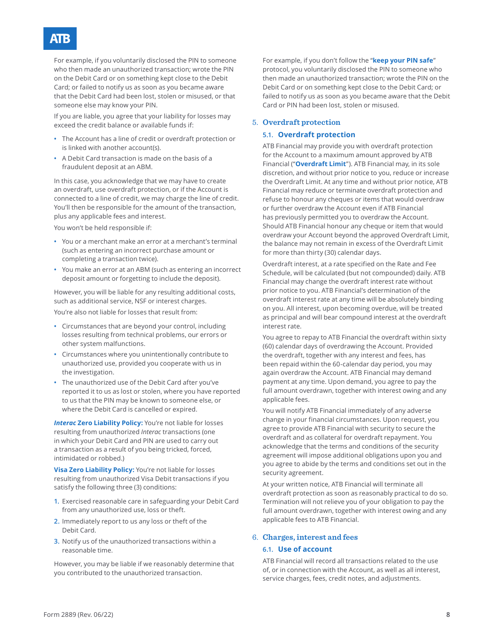### AB.

For example, if you voluntarily disclosed the PIN to someone who then made an unauthorized transaction; wrote the PIN on the Debit Card or on something kept close to the Debit Card; or failed to notify us as soon as you became aware that the Debit Card had been lost, stolen or misused, or that someone else may know your PIN.

If you are liable, you agree that your liability for losses may exceed the credit balance or available funds if:

- **•** The Account has a line of credit or overdraft protection or is linked with another account(s).
- **•** A Debit Card transaction is made on the basis of a fraudulent deposit at an ABM.

In this case, you acknowledge that we may have to create an overdraft, use overdraft protection, or if the Account is connected to a line of credit, we may charge the line of credit. You'll then be responsible for the amount of the transaction, plus any applicable fees and interest.

You won't be held responsible if:

- **•** You or a merchant make an error at a merchant's terminal (such as entering an incorrect purchase amount or completing a transaction twice).
- **•** You make an error at an ABM (such as entering an incorrect deposit amount or forgetting to include the deposit).

However, you will be liable for any resulting additional costs, such as additional service, NSF or interest charges.

You're also not liable for losses that result from:

- **•** Circumstances that are beyond your control, including losses resulting from technical problems, our errors or other system malfunctions.
- **•** Circumstances where you unintentionally contribute to unauthorized use, provided you cooperate with us in the investigation.
- **•** The unauthorized use of the Debit Card after you've reported it to us as lost or stolen, where you have reported to us that the PIN may be known to someone else, or where the Debit Card is cancelled or expired.

**Interac Zero Liability Policy:** You're not liable for losses resulting from unauthorized *Interac* transactions (one in which your Debit Card and PIN are used to carry out a transaction as a result of you being tricked, forced, intimidated or robbed.)

**Visa Zero Liability Policy:** You're not liable for losses resulting from unauthorized Visa Debit transactions if you satisfy the following three (3) conditions:

- **1.** Exercised reasonable care in safeguarding your Debit Card from any unauthorized use, loss or theft.
- **2.** Immediately report to us any loss or theft of the Debit Card.
- **3.** Notify us of the unauthorized transactions within a reasonable time.

However, you may be liable if we reasonably determine that you contributed to the unauthorized transaction.

For example, if you don't follow the "**keep your PIN safe**" protocol, you voluntarily disclosed the PIN to someone who then made an unauthorized transaction; wrote the PIN on the Debit Card or on something kept close to the Debit Card; or failed to notify us as soon as you became aware that the Debit Card or PIN had been lost, stolen or misused.

#### 5. **Overdraft protection**

#### **5.1. Overdraft protection**

ATB Financial may provide you with overdraft protection for the Account to a maximum amount approved by ATB Financial ("**Overdraft Limit**"). ATB Financial may, in its sole discretion, and without prior notice to you, reduce or increase the Overdraft Limit. At any time and without prior notice, ATB Financial may reduce or terminate overdraft protection and refuse to honour any cheques or items that would overdraw or further overdraw the Account even if ATB Financial has previously permitted you to overdraw the Account. Should ATB Financial honour any cheque or item that would overdraw your Account beyond the approved Overdraft Limit, the balance may not remain in excess of the Overdraft Limit for more than thirty (30) calendar days.

Overdraft interest, at a rate specified on the Rate and Fee Schedule, will be calculated (but not compounded) daily. ATB Financial may change the overdraft interest rate without prior notice to you. ATB Financial's determination of the overdraft interest rate at any time will be absolutely binding on you. All interest, upon becoming overdue, will be treated as principal and will bear compound interest at the overdraft interest rate.

You agree to repay to ATB Financial the overdraft within sixty (60) calendar days of overdrawing the Account. Provided the overdraft, together with any interest and fees, has been repaid within the 60-calendar day period, you may again overdraw the Account. ATB Financial may demand payment at any time. Upon demand, you agree to pay the full amount overdrawn, together with interest owing and any applicable fees.

You will notify ATB Financial immediately of any adverse change in your financial circumstances. Upon request, you agree to provide ATB Financial with security to secure the overdraft and as collateral for overdraft repayment. You acknowledge that the terms and conditions of the security agreement will impose additional obligations upon you and you agree to abide by the terms and conditions set out in the security agreement.

At your written notice, ATB Financial will terminate all overdraft protection as soon as reasonably practical to do so. Termination will not relieve you of your obligation to pay the full amount overdrawn, together with interest owing and any applicable fees to ATB Financial.

#### 6. **Charges, interest and fees**

#### **6.1. Use of account**

ATB Financial will record all transactions related to the use of, or in connection with the Account, as well as all interest, service charges, fees, credit notes, and adjustments.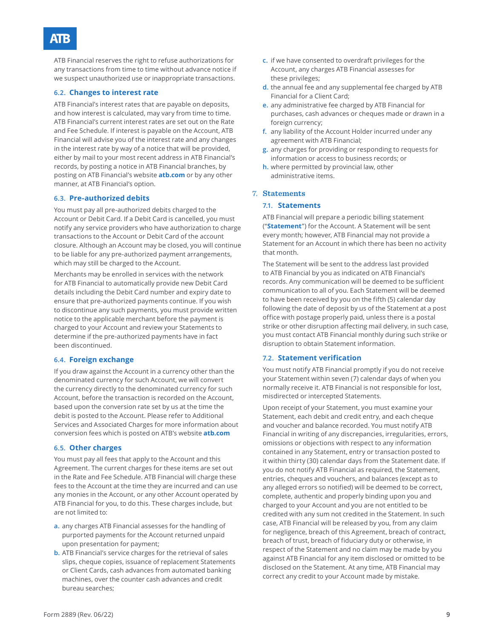ATB Financial reserves the right to refuse authorizations for any transactions from time to time without advance notice if we suspect unauthorized use or inappropriate transactions.

### **6.2. Changes to interest rate**

ATB Financial's interest rates that are payable on deposits, and how interest is calculated, may vary from time to time. ATB Financial's current interest rates are set out on the Rate and Fee Schedule. If interest is payable on the Account, ATB Financial will advise you of the interest rate and any changes in the interest rate by way of a notice that will be provided, either by mail to your most recent address in ATB Financial's records, by posting a notice in ATB Financial branches, by posting on ATB Financial's website **atb.com** or by any other manner, at ATB Financial's option.

#### **6.3. Pre-authorized debits**

You must pay all pre-authorized debits charged to the Account or Debit Card. If a Debit Card is cancelled, you must notify any service providers who have authorization to charge transactions to the Account or Debit Card of the account closure. Although an Account may be closed, you will continue to be liable for any pre-authorized payment arrangements, which may still be charged to the Account.

Merchants may be enrolled in services with the network for ATB Financial to automatically provide new Debit Card details including the Debit Card number and expiry date to ensure that pre-authorized payments continue. If you wish to discontinue any such payments, you must provide written notice to the applicable merchant before the payment is charged to your Account and review your Statements to determine if the pre-authorized payments have in fact been discontinued.

#### **6.4. Foreign exchange**

If you draw against the Account in a currency other than the denominated currency for such Account, we will convert the currency directly to the denominated currency for such Account, before the transaction is recorded on the Account, based upon the conversion rate set by us at the time the debit is posted to the Account. Please refer to Additional Services and Associated Charges for more information about conversion fees which is posted on ATB's website **atb.com**

#### **6.5. Other charges**

You must pay all fees that apply to the Account and this Agreement. The current charges for these items are set out in the Rate and Fee Schedule. ATB Financial will charge these fees to the Account at the time they are incurred and can use any monies in the Account, or any other Account operated by ATB Financial for you, to do this. These charges include, but are not limited to:

- **a.** any charges ATB Financial assesses for the handling of purported payments for the Account returned unpaid upon presentation for payment;
- **b.** ATB Financial's service charges for the retrieval of sales slips, cheque copies, issuance of replacement Statements or Client Cards, cash advances from automated banking machines, over the counter cash advances and credit bureau searches;
- **c.** if we have consented to overdraft privileges for the Account, any charges ATB Financial assesses for these privileges;
- **d.** the annual fee and any supplemental fee charged by ATB Financial for a Client Card;
- **e.** any administrative fee charged by ATB Financial for purchases, cash advances or cheques made or drawn in a foreign currency;
- **f.** any liability of the Account Holder incurred under any agreement with ATB Financial;
- **g.** any charges for providing or responding to requests for information or access to business records; or
- **h.** where permitted by provincial law, other administrative items.

#### 7. **Statements**

#### **7.1. Statements**

ATB Financial will prepare a periodic billing statement ("**Statement**") for the Account. A Statement will be sent every month; however, ATB Financial may not provide a Statement for an Account in which there has been no activity that month.

The Statement will be sent to the address last provided to ATB Financial by you as indicated on ATB Financial's records. Any communication will be deemed to be sufficient communication to all of you. Each Statement will be deemed to have been received by you on the fifth (5) calendar day following the date of deposit by us of the Statement at a post office with postage properly paid, unless there is a postal strike or other disruption affecting mail delivery, in such case, you must contact ATB Financial monthly during such strike or disruption to obtain Statement information.

#### **7.2. Statement verification**

You must notify ATB Financial promptly if you do not receive your Statement within seven (7) calendar days of when you normally receive it. ATB Financial is not responsible for lost, misdirected or intercepted Statements.

Upon receipt of your Statement, you must examine your Statement, each debit and credit entry, and each cheque and voucher and balance recorded. You must notify ATB Financial in writing of any discrepancies, irregularities, errors, omissions or objections with respect to any information contained in any Statement, entry or transaction posted to it within thirty (30) calendar days from the Statement date. If you do not notify ATB Financial as required, the Statement, entries, cheques and vouchers, and balances (except as to any alleged errors so notified) will be deemed to be correct, complete, authentic and properly binding upon you and charged to your Account and you are not entitled to be credited with any sum not credited in the Statement. In such case, ATB Financial will be released by you, from any claim for negligence, breach of this Agreement, breach of contract, breach of trust, breach of fiduciary duty or otherwise, in respect of the Statement and no claim may be made by you against ATB Financial for any item disclosed or omitted to be disclosed on the Statement. At any time, ATB Financial may correct any credit to your Account made by mistake.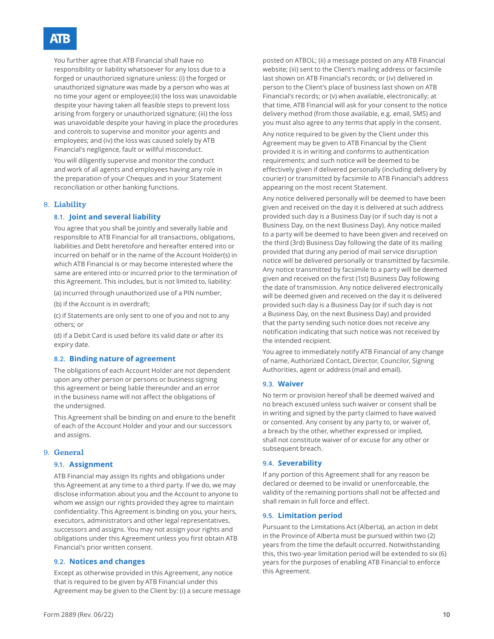You further agree that ATB Financial shall have no responsibility or liability whatsoever for any loss due to a forged or unauthorized signature unless: (i) the forged or unauthorized signature was made by a person who was at no time your agent or employee;(ii) the loss was unavoidable despite your having taken all feasible steps to prevent loss arising from forgery or unauthorized signature; (iii) the loss was unavoidable despite your having in place the procedures and controls to supervise and monitor your agents and employees; and (iv) the loss was caused solely by ATB Financial's negligence, fault or willful misconduct.

You will diligently supervise and monitor the conduct and work of all agents and employees having any role in the preparation of your Cheques and in your Statement reconciliation or other banking functions.

#### 8. **Liability**

#### **8.1. Joint and several liability**

You agree that you shall be jointly and severally liable and responsible to ATB Financial for all transactions, obligations, liabilities and Debt heretofore and hereafter entered into or incurred on behalf or in the name of the Account Holder(s) in which ATB Financial is or may become interested where the same are entered into or incurred prior to the termination of this Agreement. This includes, but is not limited to, liability:

(a) incurred through unauthorized use of a PIN number;

(b) if the Account is in overdraft;

(c) if Statements are only sent to one of you and not to any others; or

(d) if a Debit Card is used before its valid date or after its expiry date.

#### **8.2. Binding nature of agreement**

The obligations of each Account Holder are not dependent upon any other person or persons or business signing this agreement or being liable thereunder and an error in the business name will not affect the obligations of the undersigned.

This Agreement shall be binding on and enure to the benefit of each of the Account Holder and your and our successors and assigns.

#### 9. **General**

#### **9.1. Assignment**

ATB Financial may assign its rights and obligations under this Agreement at any time to a third party. If we do, we may disclose information about you and the Account to anyone to whom we assign our rights provided they agree to maintain confidentiality. This Agreement is binding on you, your heirs, executors, administrators and other legal representatives, successors and assigns. You may not assign your rights and obligations under this Agreement unless you first obtain ATB Financial's prior written consent.

#### **9.2. Notices and changes**

Except as otherwise provided in this Agreement, any notice that is required to be given by ATB Financial under this Agreement may be given to the Client by: (i) a secure message

posted on ATBOL; (ii) a message posted on any ATB Financial website; (iii) sent to the Client's mailing address or facsimile last shown on ATB Financial's records; or (iv) delivered in person to the Client's place of business last shown on ATB Financial's records; or (v) when available, electronically; at that time, ATB Financial will ask for your consent to the notice delivery method (from those available, e.g. email, SMS) and you must also agree to any terms that apply in the consent.

Any notice required to be given by the Client under this Agreement may be given to ATB Financial by the Client provided it is in writing and conforms to authentication requirements; and such notice will be deemed to be effectively given if delivered personally (including delivery by courier) or transmitted by facsimile to ATB Financial's address appearing on the most recent Statement.

Any notice delivered personally will be deemed to have been given and received on the day it is delivered at such address provided such day is a Business Day (or if such day is not a Business Day, on the next Business Day). Any notice mailed to a party will be deemed to have been given and received on the third (3rd) Business Day following the date of its mailing provided that during any period of mail service disruption notice will be delivered personally or transmitted by facsimile. Any notice transmitted by facsimile to a party will be deemed given and received on the first (1st) Business Day following the date of transmission. Any notice delivered electronically will be deemed given and received on the day it is delivered provided such day is a Business Day (or if such day is not a Business Day, on the next Business Day) and provided that the party sending such notice does not receive any notification indicating that such notice was not received by the intended recipient.

You agree to immediately notify ATB Financial of any change of name, Authorized Contact, Director, Councilor, Signing Authorities, agent or address (mail and email).

#### **9.3. Waiver**

No term or provision hereof shall be deemed waived and no breach excused unless such waiver or consent shall be in writing and signed by the party claimed to have waived or consented. Any consent by any party to, or waiver of, a breach by the other, whether expressed or implied, shall not constitute waiver of or excuse for any other or subsequent breach.

#### **9.4. Severability**

If any portion of this Agreement shall for any reason be declared or deemed to be invalid or unenforceable, the validity of the remaining portions shall not be affected and shall remain in full force and effect.

#### **9.5. Limitation period**

Pursuant to the Limitations Act (Alberta), an action in debt in the Province of Alberta must be pursued within two (2) years from the time the default occurred. Notwithstanding this, this two-year limitation period will be extended to six (6) years for the purposes of enabling ATB Financial to enforce this Agreement.